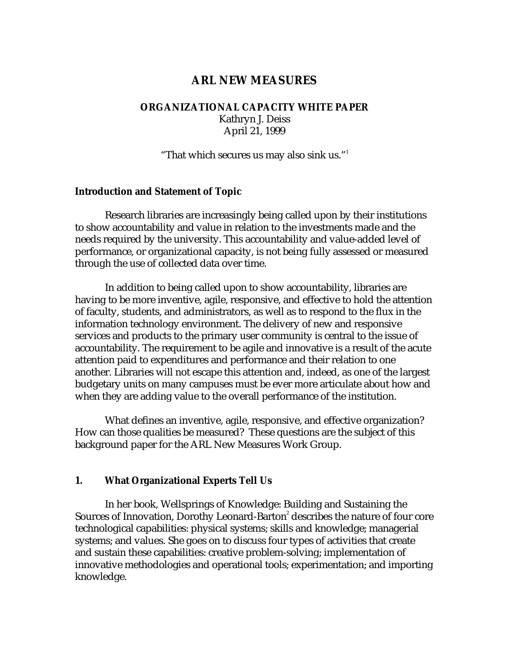# **ARL NEW MEASURES**

## **ORGANIZATIONAL CAPACITY WHITE PAPER** Kathryn J. Deiss April 21, 1999

"That which secures us may also sink us."1

#### **Introduction and Statement of Topic**

Research libraries are increasingly being called upon by their institutions to show accountability and value in relation to the investments made and the needs required by the university. This accountability and value-added level of performance, or organizational capacity, is not being fully assessed or measured through the use of collected data over time.

In addition to being called upon to show accountability, libraries are having to be more inventive, agile, responsive, and effective to hold the attention of faculty, students, and administrators, as well as to respond to the flux in the information technology environment. The delivery of new and responsive services and products to the primary user community is central to the issue of accountability. The requirement to be agile and innovative is a result of the acute attention paid to expenditures and performance and their relation to one another. Libraries will not escape this attention and, indeed, as one of the largest budgetary units on many campuses must be ever more articulate about how and when they are adding value to the overall performance of the institution.

What defines an inventive, agile, responsive, and effective organization? How can those qualities be measured? These questions are the subject of this background paper for the ARL New Measures Work Group.

#### **1. What Organizational Experts Tell Us**

In her book, Wellsprings of Knowledge: Building and Sustaining the Sources of Innovation, Dorothy Leonard-Barton $\degree$  describes the nature of four core technological capabilities: physical systems; skills and knowledge; managerial systems; and values. She goes on to discuss four types of activities that create and sustain these capabilities: creative problem-solving; implementation of innovative methodologies and operational tools; experimentation; and importing knowledge.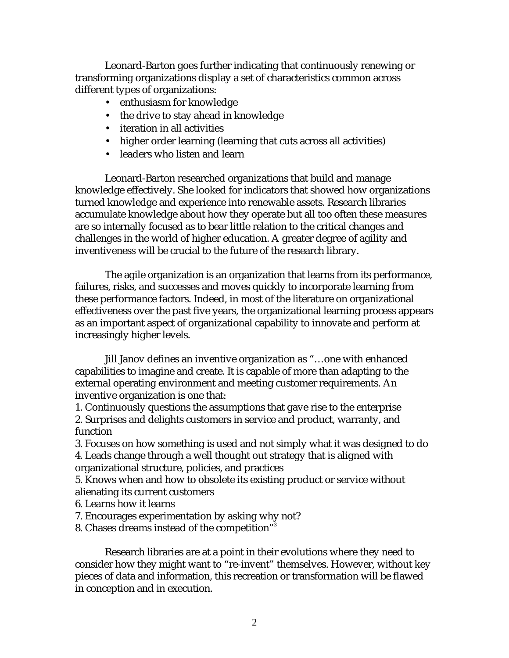Leonard-Barton goes further indicating that continuously renewing or transforming organizations display a set of characteristics common across different types of organizations:

- enthusiasm for knowledge
- the drive to stay ahead in knowledge
- iteration in all activities
- higher order learning (learning that cuts across all activities)
- leaders who listen and learn

Leonard-Barton researched organizations that build and manage knowledge effectively. She looked for indicators that showed how organizations turned knowledge and experience into renewable assets. Research libraries accumulate knowledge about how they operate but all too often these measures are so internally focused as to bear little relation to the critical changes and challenges in the world of higher education. A greater degree of agility and inventiveness will be crucial to the future of the research library.

The agile organization is an organization that learns from its performance, failures, risks, and successes and moves quickly to incorporate learning from these performance factors. Indeed, in most of the literature on organizational effectiveness over the past five years, the organizational learning process appears as an important aspect of organizational capability to innovate and perform at increasingly higher levels.

Jill Janov defines an inventive organization as "…one with enhanced capabilities to imagine and create. It is capable of more than adapting to the external operating environment and meeting customer requirements. An inventive organization is one that:

1. Continuously questions the assumptions that gave rise to the enterprise 2. Surprises and delights customers in service and product, warranty, and function

3. Focuses on how something is used and not simply what it was designed to do 4. Leads change through a well thought out strategy that is aligned with

organizational structure, policies, and practices

5. Knows when and how to obsolete its existing product or service without alienating its current customers

- 6. Learns how it learns
- 7. Encourages experimentation by asking why not?
- 8. Chases dreams instead of the competition"3

Research libraries are at a point in their evolutions where they need to consider how they might want to "re-invent" themselves. However, without key pieces of data and information, this recreation or transformation will be flawed in conception and in execution.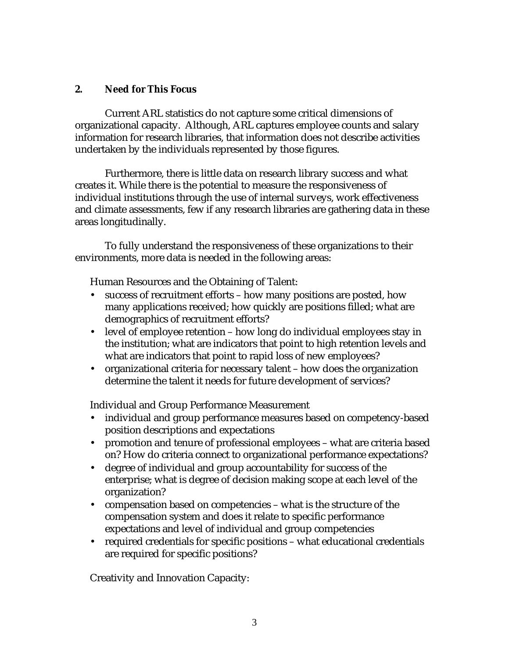# **2. Need for This Focus**

Current ARL statistics do not capture some critical dimensions of organizational capacity. Although, ARL captures employee counts and salary information for research libraries, that information does not describe activities undertaken by the individuals represented by those figures.

Furthermore, there is little data on research library success and what creates it. While there is the potential to measure the responsiveness of individual institutions through the use of internal surveys, work effectiveness and climate assessments, few if any research libraries are gathering data in these areas longitudinally.

To fully understand the responsiveness of these organizations to their environments, more data is needed in the following areas:

Human Resources and the Obtaining of Talent:

- success of recruitment efforts how many positions are posted, how many applications received; how quickly are positions filled; what are demographics of recruitment efforts?
- level of employee retention how long do individual employees stay in the institution; what are indicators that point to high retention levels and what are indicators that point to rapid loss of new employees?
- organizational criteria for necessary talent how does the organization determine the talent it needs for future development of services?

Individual and Group Performance Measurement

- individual and group performance measures based on competency-based position descriptions and expectations
- promotion and tenure of professional employees what are criteria based on? How do criteria connect to organizational performance expectations?
- degree of individual and group accountability for success of the enterprise; what is degree of decision making scope at each level of the organization?
- compensation based on competencies what is the structure of the compensation system and does it relate to specific performance expectations and level of individual and group competencies
- required credentials for specific positions what educational credentials are required for specific positions?

Creativity and Innovation Capacity: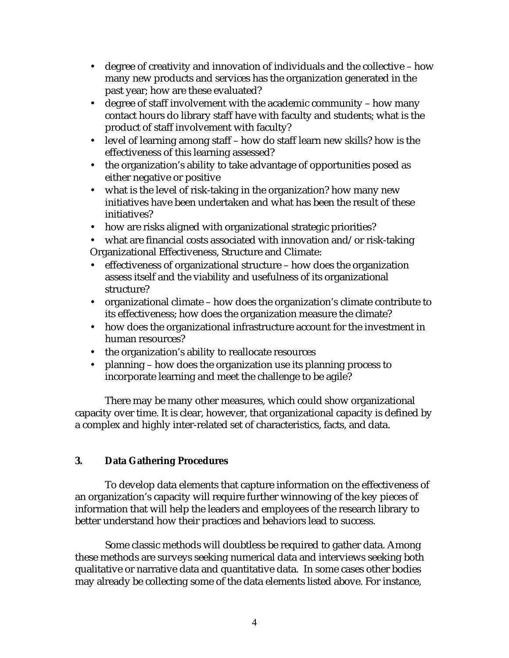- degree of creativity and innovation of individuals and the collective how many new products and services has the organization generated in the past year; how are these evaluated?
- degree of staff involvement with the academic community how many contact hours do library staff have with faculty and students; what is the product of staff involvement with faculty?
- level of learning among staff how do staff learn new skills? how is the effectiveness of this learning assessed?
- the organization's ability to take advantage of opportunities posed as either negative or positive
- what is the level of risk-taking in the organization? how many new initiatives have been undertaken and what has been the result of these initiatives?
- how are risks aligned with organizational strategic priorities?

• what are financial costs associated with innovation and/or risk-taking Organizational Effectiveness, Structure and Climate:

- effectiveness of organizational structure how does the organization assess itself and the viability and usefulness of its organizational structure?
- organizational climate how does the organization's climate contribute to its effectiveness; how does the organization measure the climate?
- how does the organizational infrastructure account for the investment in human resources?
- the organization's ability to reallocate resources
- planning how does the organization use its planning process to incorporate learning and meet the challenge to be agile?

There may be many other measures, which could show organizational capacity over time. It is clear, however, that organizational capacity is defined by a complex and highly inter-related set of characteristics, facts, and data.

# **3. Data Gathering Procedures**

To develop data elements that capture information on the effectiveness of an organization's capacity will require further winnowing of the key pieces of information that will help the leaders and employees of the research library to better understand how their practices and behaviors lead to success.

Some classic methods will doubtless be required to gather data. Among these methods are surveys seeking numerical data and interviews seeking both qualitative or narrative data and quantitative data. In some cases other bodies may already be collecting some of the data elements listed above. For instance,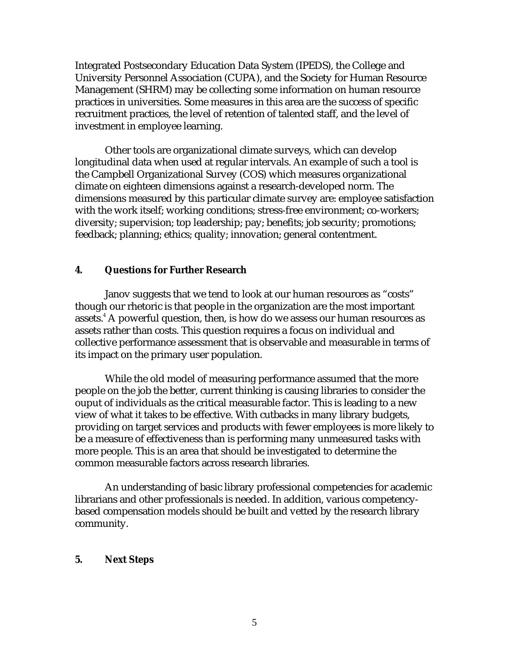Integrated Postsecondary Education Data System (IPEDS), the College and University Personnel Association (CUPA), and the Society for Human Resource Management (SHRM) may be collecting some information on human resource practices in universities. Some measures in this area are the success of specific recruitment practices, the level of retention of talented staff, and the level of investment in employee learning.

Other tools are organizational climate surveys, which can develop longitudinal data when used at regular intervals. An example of such a tool is the Campbell Organizational Survey (COS) which measures organizational climate on eighteen dimensions against a research-developed norm. The dimensions measured by this particular climate survey are: employee satisfaction with the work itself; working conditions; stress-free environment; co-workers; diversity; supervision; top leadership; pay; benefits; job security; promotions; feedback; planning; ethics; quality; innovation; general contentment.

### **4. Questions for Further Research**

Janov suggests that we tend to look at our human resources as "costs" though our rhetoric is that people in the organization are the most important assets. $^{\rm 4}$  A powerful question, then, is how do we assess our human resources as assets rather than costs. This question requires a focus on individual and collective performance assessment that is observable and measurable in terms of its impact on the primary user population.

While the old model of measuring performance assumed that the more people on the job the better, current thinking is causing libraries to consider the ouput of individuals as the critical measurable factor. This is leading to a new view of what it takes to be effective. With cutbacks in many library budgets, providing on target services and products with fewer employees is more likely to be a measure of effectiveness than is performing many unmeasured tasks with more people. This is an area that should be investigated to determine the common measurable factors across research libraries.

An understanding of basic library professional competencies for academic librarians and other professionals is needed. In addition, various competencybased compensation models should be built and vetted by the research library community.

#### **5. Next Steps**